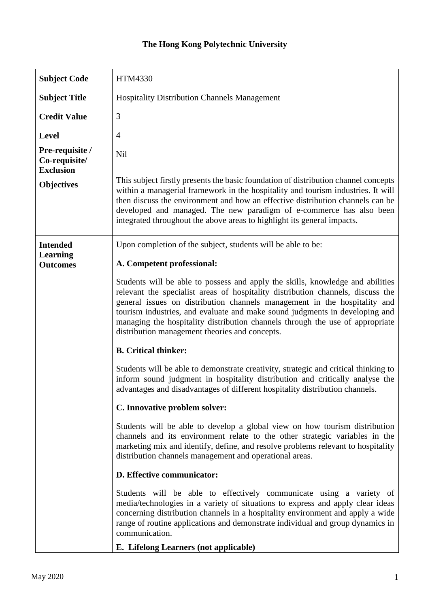## **The Hong Kong Polytechnic University**

| <b>Subject Code</b>                                  | HTM4330                                                                                                                                                                                                                                                                                                                                                                                                                                                          |
|------------------------------------------------------|------------------------------------------------------------------------------------------------------------------------------------------------------------------------------------------------------------------------------------------------------------------------------------------------------------------------------------------------------------------------------------------------------------------------------------------------------------------|
| <b>Subject Title</b>                                 | <b>Hospitality Distribution Channels Management</b>                                                                                                                                                                                                                                                                                                                                                                                                              |
| <b>Credit Value</b>                                  | 3                                                                                                                                                                                                                                                                                                                                                                                                                                                                |
| <b>Level</b>                                         | $\overline{4}$                                                                                                                                                                                                                                                                                                                                                                                                                                                   |
| Pre-requisite /<br>Co-requisite/<br><b>Exclusion</b> | Nil                                                                                                                                                                                                                                                                                                                                                                                                                                                              |
| <b>Objectives</b>                                    | This subject firstly presents the basic foundation of distribution channel concepts<br>within a managerial framework in the hospitality and tourism industries. It will<br>then discuss the environment and how an effective distribution channels can be<br>developed and managed. The new paradigm of e-commerce has also been<br>integrated throughout the above areas to highlight its general impacts.                                                      |
| <b>Intended</b>                                      | Upon completion of the subject, students will be able to be:                                                                                                                                                                                                                                                                                                                                                                                                     |
| <b>Learning</b><br><b>Outcomes</b>                   | A. Competent professional:                                                                                                                                                                                                                                                                                                                                                                                                                                       |
|                                                      | Students will be able to possess and apply the skills, knowledge and abilities<br>relevant the specialist areas of hospitality distribution channels, discuss the<br>general issues on distribution channels management in the hospitality and<br>tourism industries, and evaluate and make sound judgments in developing and<br>managing the hospitality distribution channels through the use of appropriate<br>distribution management theories and concepts. |
|                                                      | <b>B.</b> Critical thinker:                                                                                                                                                                                                                                                                                                                                                                                                                                      |
|                                                      | Students will be able to demonstrate creativity, strategic and critical thinking to<br>inform sound judgment in hospitality distribution and critically analyse the<br>advantages and disadvantages of different hospitality distribution channels.                                                                                                                                                                                                              |
|                                                      | C. Innovative problem solver:                                                                                                                                                                                                                                                                                                                                                                                                                                    |
|                                                      | Students will be able to develop a global view on how tourism distribution<br>channels and its environment relate to the other strategic variables in the<br>marketing mix and identify, define, and resolve problems relevant to hospitality<br>distribution channels management and operational areas.                                                                                                                                                         |
|                                                      | D. Effective communicator:                                                                                                                                                                                                                                                                                                                                                                                                                                       |
|                                                      | Students will be able to effectively communicate using a variety of<br>media/technologies in a variety of situations to express and apply clear ideas<br>concerning distribution channels in a hospitality environment and apply a wide<br>range of routine applications and demonstrate individual and group dynamics in<br>communication.<br>E. Lifelong Learners (not applicable)                                                                             |